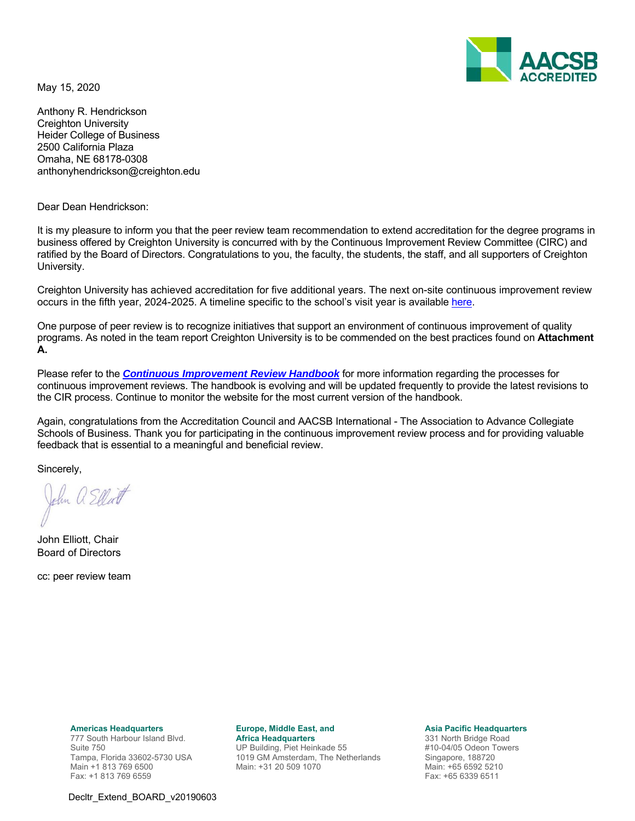

May 15, 2020

Anthony R. Hendrickson Creighton University Heider College of Business 2500 California Plaza Omaha, NE 68178-0308 anthonyhendrickson@creighton.edu

Dear Dean Hendrickson:

It is my pleasure to inform you that the peer review team recommendation to extend accreditation for the degree programs in business offered by Creighton University is concurred with by the Continuous Improvement Review Committee (CIRC) and ratified by the Board of Directors. Congratulations to you, the faculty, the students, the staff, and all supporters of Creighton University.

Creighton University has achieved accreditation for five additional years. The next on-site continuous improvement review occurs in the fifth year, 2024-2025. A timeline specific to the school's visit year is available here.

One purpose of peer review is to recognize initiatives that support an environment of continuous improvement of quality programs. As noted in the team report Creighton University is to be commended on the best practices found on **Attachment A.**

Please refer to the *Continuous Improvement Review Handbook* for more information regarding the processes for continuous improvement reviews. The handbook is evolving and will be updated frequently to provide the latest revisions to the CIR process. Continue to monitor the website for the most current version of the handbook.

Again, congratulations from the Accreditation Council and AACSB International - The Association to Advance Collegiate Schools of Business. Thank you for participating in the continuous improvement review process and for providing valuable feedback that is essential to a meaningful and beneficial review.

Sincerely,

John a Elliott

John Elliott, Chair Board of Directors

cc: peer review team

**Americas Headquarters** 

777 South Harbour Island Blvd. Suite 750 Tampa, Florida 33602-5730 USA Main +1 813 769 6500 Fax: +1 813 769 6559

**Europe, Middle East, and Africa Headquarters** 

UP Building, Piet Heinkade 55 1019 GM Amsterdam, The Netherlands Main: +31 20 509 1070

**Asia Pacific Headquarters** 

331 North Bridge Road #10-04/05 Odeon Towers Singapore, 188720 Main: +65 6592 5210 Fax: +65 6339 6511

Decltr\_Extend\_BOARD\_v20190603